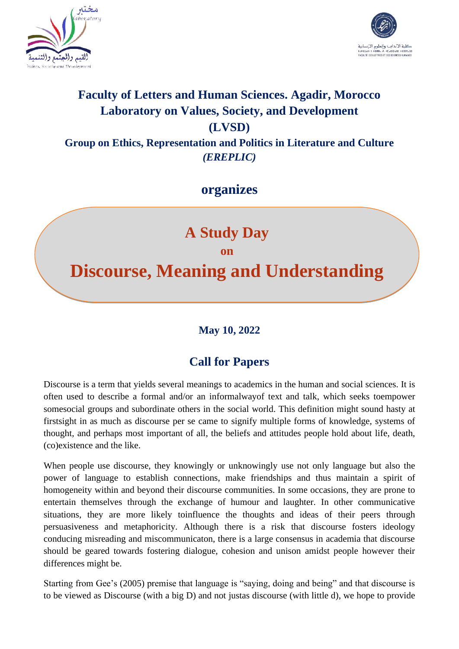



## **Faculty of Letters and Human Sciences. Agadir, Morocco Laboratory on Values, Society, and Development (LVSD) Group on Ethics, Representation and Politics in Literature and Culture** *(EREPLIC)*

**organizes**

# **A Study Day on Discourse, Meaning and Understanding**

### **May 10, 2022**

## **Call for Papers**

Discourse is a term that yields several meanings to academics in the human and social sciences. It is often used to describe a formal and/or an informalwayof text and talk, which seeks toempower somesocial groups and subordinate others in the social world. This definition might sound hasty at firstsight in as much as discourse per se came to signify multiple forms of knowledge, systems of thought, and perhaps most important of all, the beliefs and attitudes people hold about life, death, (co)existence and the like.

When people use discourse, they knowingly or unknowingly use not only language but also the power of language to establish connections, make friendships and thus maintain a spirit of homogeneity within and beyond their discourse communities. In some occasions, they are prone to entertain themselves through the exchange of humour and laughter. In other communicative situations, they are more likely toinfluence the thoughts and ideas of their peers through persuasiveness and metaphoricity. Although there is a risk that discourse fosters ideology conducing misreading and miscommunicaton, there is a large consensus in academia that discourse should be geared towards fostering dialogue, cohesion and unison amidst people however their differences might be.

Starting from Gee's (2005) premise that language is "saying, doing and being" and that discourse is to be viewed as Discourse (with a big D) and not justas discourse (with little d), we hope to provide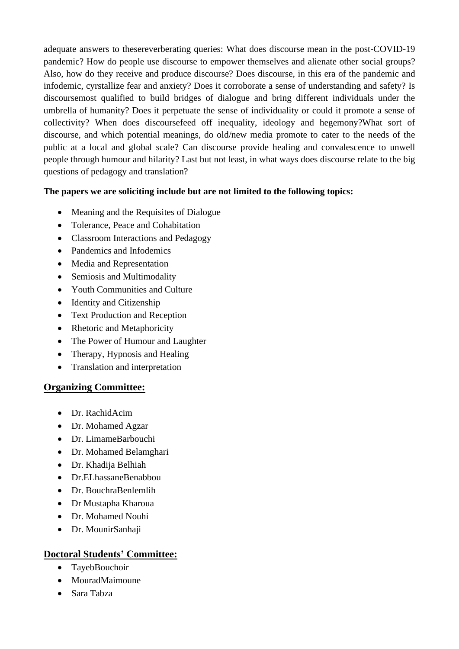adequate answers to thesereverberating queries: What does discourse mean in the post-COVID-19 pandemic? How do people use discourse to empower themselves and alienate other social groups? Also, how do they receive and produce discourse? Does discourse, in this era of the pandemic and infodemic, cyrstallize fear and anxiety? Does it corroborate a sense of understanding and safety? Is discoursemost qualified to build bridges of dialogue and bring different individuals under the umbrella of humanity? Does it perpetuate the sense of individuality or could it promote a sense of collectivity? When does discoursefeed off inequality, ideology and hegemony?What sort of discourse, and which potential meanings, do old/new media promote to cater to the needs of the public at a local and global scale? Can discourse provide healing and convalescence to unwell people through humour and hilarity? Last but not least, in what ways does discourse relate to the big questions of pedagogy and translation?

#### **The papers we are soliciting include but are not limited to the following topics:**

- Meaning and the Requisites of Dialogue
- Tolerance, Peace and Cohabitation
- Classroom Interactions and Pedagogy
- Pandemics and Infodemics
- Media and Representation
- Semiosis and Multimodality
- Youth Communities and Culture
- Identity and Citizenship
- Text Production and Reception
- Rhetoric and Metaphoricity
- The Power of Humour and Laughter
- Therapy, Hypnosis and Healing
- Translation and interpretation

#### **Organizing Committee:**

- Dr. RachidAcim
- Dr. Mohamed Agzar
- Dr. LimameBarbouchi
- Dr. Mohamed Belamghari
- Dr. Khadija Belhiah
- Dr.ELhassaneBenabbou
- Dr. BouchraBenlemlih
- Dr Mustapha Kharoua
- Dr. Mohamed Nouhi
- Dr. MounirSanhaji

#### **Doctoral Students' Committee:**

- TayebBouchoir
- MouradMaimoune
- Sara Tabza